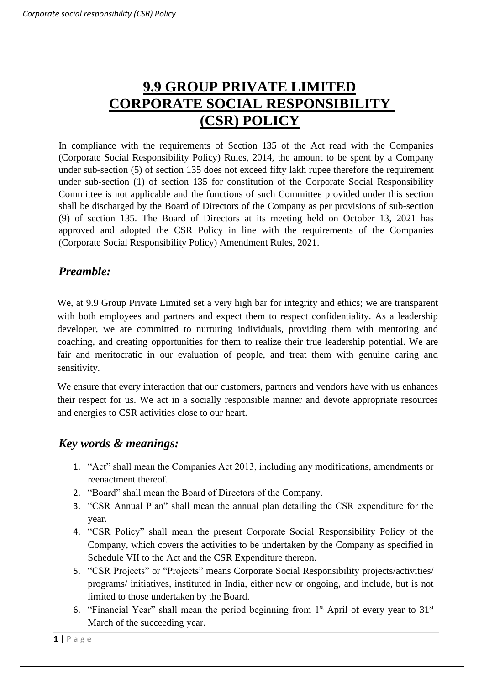# **9.9 GROUP PRIVATE LIMITED CORPORATE SOCIAL RESPONSIBILITY (CSR) POLICY**

In compliance with the requirements of Section 135 of the Act read with the Companies (Corporate Social Responsibility Policy) Rules, 2014, the amount to be spent by a Company under sub-section (5) of section 135 does not exceed fifty lakh rupee therefore the requirement under sub-section (1) of section 135 for constitution of the Corporate Social Responsibility Committee is not applicable and the functions of such Committee provided under this section shall be discharged by the Board of Directors of the Company as per provisions of sub-section (9) of section 135. The Board of Directors at its meeting held on October 13, 2021 has approved and adopted the CSR Policy in line with the requirements of the Companies (Corporate Social Responsibility Policy) Amendment Rules, 2021.

# *Preamble:*

We, at 9.9 Group Private Limited set a very high bar for integrity and ethics; we are transparent with both employees and partners and expect them to respect confidentiality. As a leadership developer, we are committed to nurturing individuals, providing them with mentoring and coaching, and creating opportunities for them to realize their true leadership potential. We are fair and meritocratic in our evaluation of people, and treat them with genuine caring and sensitivity.

We ensure that every interaction that our customers, partners and vendors have with us enhances their respect for us. We act in a socially responsible manner and devote appropriate resources and energies to CSR activities close to our heart.

# *Key words & meanings:*

- 1. "Act" shall mean the Companies Act 2013, including any modifications, amendments or reenactment thereof.
- 2. "Board" shall mean the Board of Directors of the Company.
- 3. "CSR Annual Plan" shall mean the annual plan detailing the CSR expenditure for the year.
- 4. "CSR Policy" shall mean the present Corporate Social Responsibility Policy of the Company, which covers the activities to be undertaken by the Company as specified in Schedule VII to the Act and the CSR Expenditure thereon.
- 5. "CSR Projects" or "Projects" means Corporate Social Responsibility projects/activities/ programs/ initiatives, instituted in India, either new or ongoing, and include, but is not limited to those undertaken by the Board.
- 6. "Financial Year" shall mean the period beginning from  $1<sup>st</sup>$  April of every year to  $31<sup>st</sup>$ March of the succeeding year.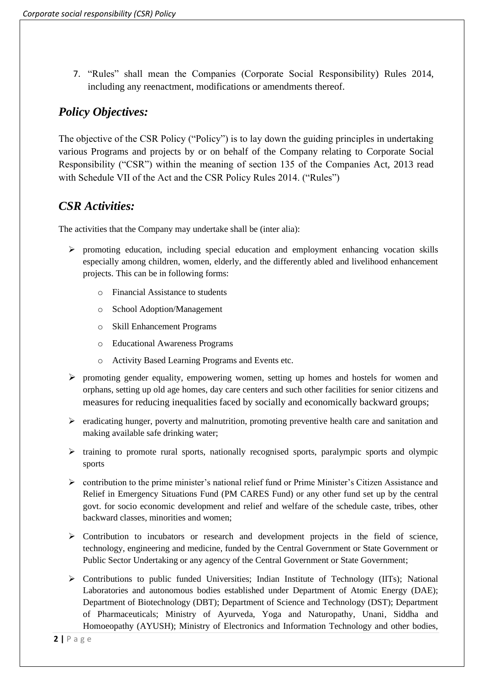7. "Rules" shall mean the Companies (Corporate Social Responsibility) Rules 2014, including any reenactment, modifications or amendments thereof.

# *Policy Objectives:*

The objective of the CSR Policy ("Policy") is to lay down the guiding principles in undertaking various Programs and projects by or on behalf of the Company relating to Corporate Social Responsibility ("CSR") within the meaning of section 135 of the Companies Act, 2013 read with Schedule VII of the Act and the CSR Policy Rules 2014. ("Rules")

## *CSR Activities:*

The activities that the Company may undertake shall be (inter alia):

- ➢ promoting education, including special education and employment enhancing vocation skills especially among children, women, elderly, and the differently abled and livelihood enhancement projects. This can be in following forms:
	- o Financial Assistance to students
	- o School Adoption/Management
	- o Skill Enhancement Programs
	- o Educational Awareness Programs
	- o Activity Based Learning Programs and Events etc.
- ➢ promoting gender equality, empowering women, setting up homes and hostels for women and orphans, setting up old age homes, day care centers and such other facilities for senior citizens and measures for reducing inequalities faced by socially and economically backward groups;
- ➢ eradicating hunger, poverty and malnutrition, promoting preventive health care and sanitation and making available safe drinking water;
- $\triangleright$  training to promote rural sports, nationally recognised sports, paralympic sports and olympic sports
- $\triangleright$  contribution to the prime minister's national relief fund or Prime Minister's Citizen Assistance and Relief in Emergency Situations Fund (PM CARES Fund) or any other fund set up by the central govt. for socio economic development and relief and welfare of the schedule caste, tribes, other backward classes, minorities and women;
- ➢ Contribution to incubators or research and development projects in the field of science, technology, engineering and medicine, funded by the Central Government or State Government or Public Sector Undertaking or any agency of the Central Government or State Government;
- $\triangleright$  Contributions to public funded Universities; Indian Institute of Technology (IITs); National Laboratories and autonomous bodies established under Department of Atomic Energy (DAE); Department of Biotechnology (DBT); Department of Science and Technology (DST); Department of Pharmaceuticals; Ministry of Ayurveda, Yoga and Naturopathy, Unani, Siddha and Homoeopathy (AYUSH); Ministry of Electronics and Information Technology and other bodies,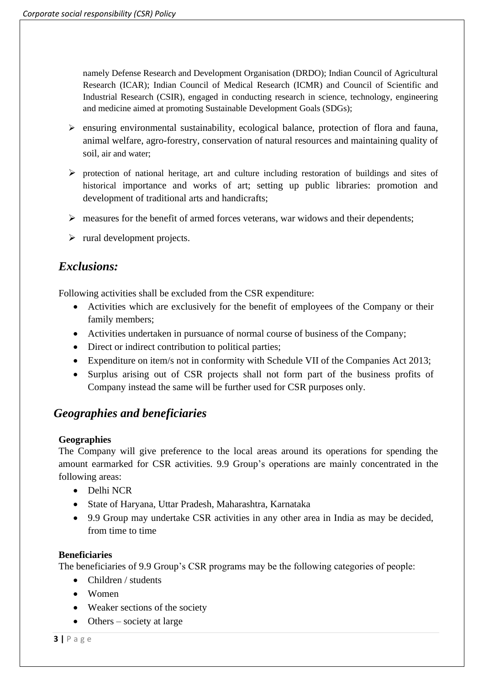namely Defense Research and Development Organisation (DRDO); Indian Council of Agricultural Research (ICAR); Indian Council of Medical Research (ICMR) and Council of Scientific and Industrial Research (CSIR), engaged in conducting research in science, technology, engineering and medicine aimed at promoting Sustainable Development Goals (SDGs);

- $\triangleright$  ensuring environmental sustainability, ecological balance, protection of flora and fauna, animal welfare, agro-forestry, conservation of natural resources and maintaining quality of soil, air and water;
- $\triangleright$  protection of national heritage, art and culture including restoration of buildings and sites of historical importance and works of art; setting up public libraries: promotion and development of traditional arts and handicrafts;
- ➢ measures for the benefit of armed forces veterans, war widows and their dependents;
- $\triangleright$  rural development projects.

## *Exclusions:*

Following activities shall be excluded from the CSR expenditure:

- Activities which are exclusively for the benefit of employees of the Company or their family members;
- Activities undertaken in pursuance of normal course of business of the Company;
- Direct or indirect contribution to political parties;
- Expenditure on item/s not in conformity with Schedule VII of the Companies Act 2013;
- Surplus arising out of CSR projects shall not form part of the business profits of Company instead the same will be further used for CSR purposes only.

### *Geographies and beneficiaries*

#### **Geographies**

The Company will give preference to the local areas around its operations for spending the amount earmarked for CSR activities. 9.9 Group's operations are mainly concentrated in the following areas:

- Delhi NCR
- State of Haryana, Uttar Pradesh, Maharashtra, Karnataka
- 9.9 Group may undertake CSR activities in any other area in India as may be decided, from time to time

#### **Beneficiaries**

The beneficiaries of 9.9 Group's CSR programs may be the following categories of people:

- Children / students
- Women
- Weaker sections of the society
- Others society at large